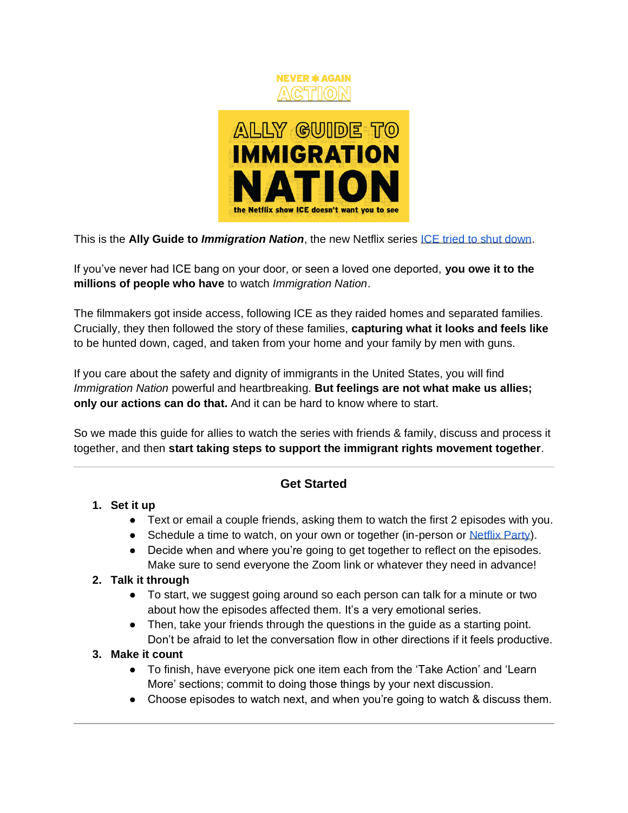

This is the **Ally Guide to** *Immigration Nation*, the new Netflix series [ICE tried to shut down.](https://www.newsweek.com/immigration-nation-netflix-ice-trump-government-ban-censor-1522992)

If you've never had ICE bang on your door, or seen a loved one deported, **you owe it to the millions of people who have** to watch *Immigration Nation*.

The filmmakers got inside access, following ICE as they raided homes and separated families. Crucially, they then followed the story of these families, **capturing what it looks and feels like** to be hunted down, caged, and taken from your home and your family by men with guns.

If you care about the safety and dignity of immigrants in the United States, you will find *Immigration Nation* powerful and heartbreaking. **But feelings are not what make us allies; only our actions can do that.** And it can be hard to know where to start.

So we made this guide for allies to watch the series with friends & family, discuss and process it together, and then **start taking steps to support the immigrant rights movement together**.

## **Get Started**

## **1. Set it up**

- Text or email a couple friends, asking them to watch the first 2 episodes with you.
- Schedule a time to watch, on your own or together (in-person or [Netflix Party\)](https://www.netflixparty.com/).
- Decide when and where you're going to get together to reflect on the episodes. Make sure to send everyone the Zoom link or whatever they need in advance!

## **2. Talk it through**

- To start, we suggest going around so each person can talk for a minute or two about how the episodes affected them. It's a very emotional series.
- Then, take your friends through the questions in the guide as a starting point. Don't be afraid to let the conversation flow in other directions if it feels productive.

## **3. Make it count**

- To finish, have everyone pick one item each from the 'Take Action' and 'Learn More' sections; commit to doing those things by your next discussion.
- Choose episodes to watch next, and when you're going to watch & discuss them.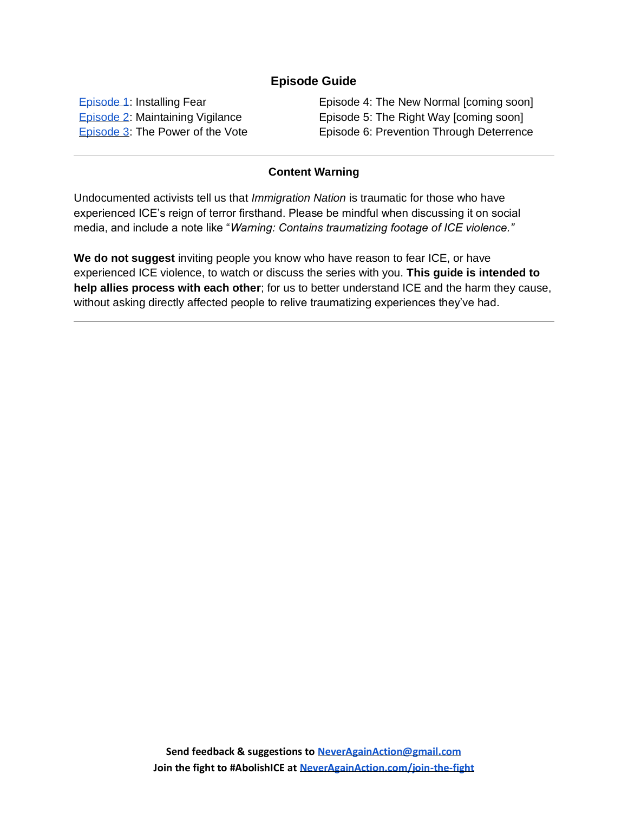## **Episode Guide**

[Episode 1:](#page-2-0) Installing Fear [Episode 2:](#page-4-0) Maintaining Vigilance [Episode 3:](#page-6-0) The Power of the Vote Episode 4: The New Normal [coming soon] Episode 5: The Right Way [coming soon] Episode 6: Prevention Through Deterrence

#### **Content Warning**

Undocumented activists tell us that *Immigration Nation* is traumatic for those who have experienced ICE's reign of terror firsthand. Please be mindful when discussing it on social media, and include a note like "*Warning: Contains traumatizing footage of ICE violence."*

**We do not suggest** inviting people you know who have reason to fear ICE, or have experienced ICE violence, to watch or discuss the series with you. **This guide is intended to help allies process with each other**; for us to better understand ICE and the harm they cause, without asking directly affected people to relive traumatizing experiences they've had.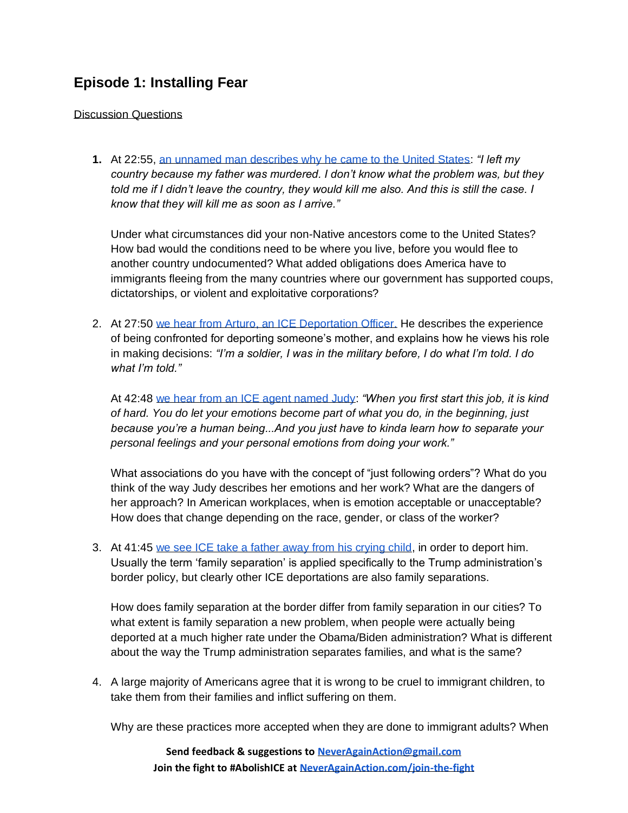## <span id="page-2-0"></span>**Episode 1: Installing Fear**

Discussion Questions

**1.** At 22:55, [an unnamed man describes why he came to the United States:](https://youtu.be/PXUbsKcj-PI) *"I left my country because my father was murdered. I don't know what the problem was, but they told me if I didn't leave the country, they would kill me also. And this is still the case. I know that they will kill me as soon as I arrive."* 

Under what circumstances did your non-Native ancestors come to the United States? How bad would the conditions need to be where you live, before you would flee to another country undocumented? What added obligations does America have to immigrants fleeing from the many countries where our government has supported coups, dictatorships, or violent and exploitative corporations?

2. At 27:50 [we hear from Arturo, an ICE Deportation Officer.](https://youtu.be/5vdHxROFDr8) He describes the experience of being confronted for deporting someone's mother, and explains how he views his role in making decisions: *"I'm a soldier, I was in the military before, I do what I'm told. I do what I'm told."*

At 42:48 [we hear from an ICE agent named Judy:](https://youtu.be/5liYywTksyw) *"When you first start this job, it is kind of hard. You do let your emotions become part of what you do, in the beginning, just because you're a human being...And you just have to kinda learn how to separate your personal feelings and your personal emotions from doing your work."*

What associations do you have with the concept of "just following orders"? What do you think of the way Judy describes her emotions and her work? What are the dangers of her approach? In American workplaces, when is emotion acceptable or unacceptable? How does that change depending on the race, gender, or class of the worker?

3. At 41:45 [we see ICE take a father away from his crying child,](https://youtu.be/uqbADl7cdSA) in order to deport him. Usually the term 'family separation' is applied specifically to the Trump administration's border policy, but clearly other ICE deportations are also family separations.

How does family separation at the border differ from family separation in our cities? To what extent is family separation a new problem, when people were actually being deported at a much higher rate under the Obama/Biden administration? What is different about the way the Trump administration separates families, and what is the same?

4. A large majority of Americans agree that it is wrong to be cruel to immigrant children, to take them from their families and inflict suffering on them.

Why are these practices more accepted when they are done to immigrant adults? When

**Send feedback & suggestions t[o NeverAgainAction@gmail.com](mailto:NeverAgainAction@gmail.com) Join the fight to #AbolishICE at [NeverAgainAction.com/join-the-fight](https://neveragainaction.com/join-the-fight)**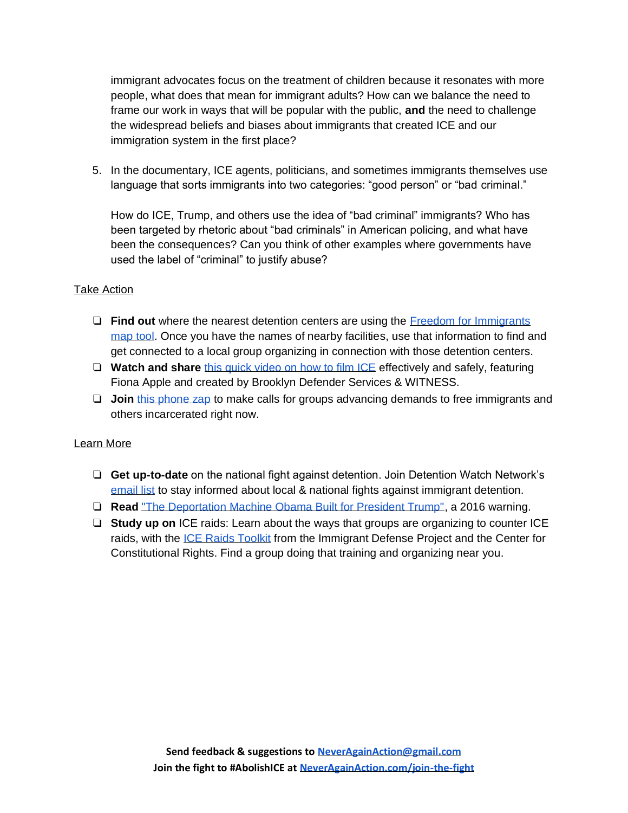immigrant advocates focus on the treatment of children because it resonates with more people, what does that mean for immigrant adults? How can we balance the need to frame our work in ways that will be popular with the public, **and** the need to challenge the widespread beliefs and biases about immigrants that created ICE and our immigration system in the first place?

5. In the documentary, ICE agents, politicians, and sometimes immigrants themselves use language that sorts immigrants into two categories: "good person" or "bad criminal."

How do ICE, Trump, and others use the idea of "bad criminal" immigrants? Who has been targeted by rhetoric about "bad criminals" in American policing, and what have been the consequences? Can you think of other examples where governments have used the label of "criminal" to justify abuse?

#### Take Action

- ❏ **Find out** where the nearest detention centers are using the [Freedom for Immigrants](https://www.freedomforimmigrants.org/map)  [map tool.](https://www.freedomforimmigrants.org/map) Once you have the names of nearby facilities, use that information to find and get connected to a local group organizing in connection with those detention centers.
- ❏ **Watch and share** [this quick video on how to film ICE](https://vimeo.com/447225087?mc_cid=5a80c20bce&mc_eid=1c9c19c935) effectively and safely, featuring Fiona Apple and created by Brooklyn Defender Services & WITNESS.
- ❏ **Join** [this phone zap](https://www.facebook.com/events/576785769660176/) to make calls for groups advancing demands to free immigrants and others incarcerated right now.

#### Learn More

- ❏ **Get up-to-date** on the national fight against detention. Join Detention Watch Network's [email list](https://www.detentionwatchnetwork.org/take-action/signup) to stay informed about local & national fights against immigrant detention.
- ❏ **Read** ["The Deportation Machine Obama Built for President Trump",](https://www.thenation.com/article/archive/the-deportation-machine-obama-built-for-president-trump/) a 2016 warning.
- ❏ **Study up on** ICE raids: Learn about the ways that groups are organizing to counter ICE raids, with the [ICE Raids Toolkit](https://www.immigrantdefenseproject.org/raids-toolkit/) from the Immigrant Defense Project and the Center for Constitutional Rights. Find a group doing that training and organizing near you.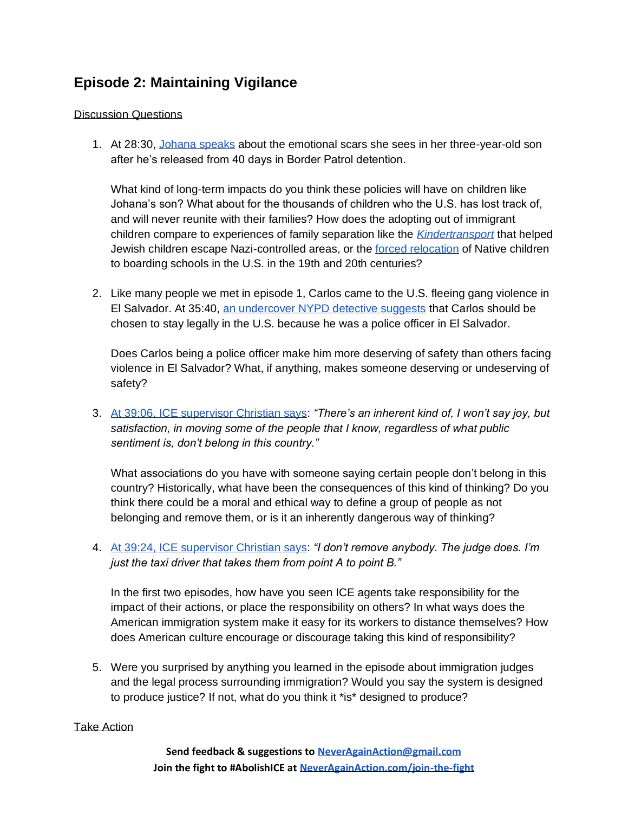# <span id="page-4-0"></span>**Episode 2: Maintaining Vigilance**

#### Discussion Questions

1. At 28:30, [Johana speaks](https://youtu.be/dXfk18cwSvI) about the emotional scars she sees in her three-year-old son after he's released from 40 days in Border Patrol detention.

What kind of long-term impacts do you think these policies will have on children like Johana's son? What about for the thousands of children who the U.S. has lost track of, and will never reunite with their families? How does the adopting out of immigrant children compare to experiences of family separation like the *[Kindertransport](https://www.bbc.co.uk/newsround/46877532)* that helped Jewish children escape Nazi-controlled areas, or the [forced relocation](https://www.pbsutah.org/whatson/pbs-utah-productions/unspoken-americas-native-american-boarding-schools) of Native children to boarding schools in the U.S. in the 19th and 20th centuries?

2. Like many people we met in episode 1, Carlos came to the U.S. fleeing gang violence in El Salvador. At 35:40, [an undercover NYPD detective suggests](https://youtu.be/IzrmmBcKQtg) that Carlos should be chosen to stay legally in the U.S. because he was a police officer in El Salvador.

Does Carlos being a police officer make him more deserving of safety than others facing violence in El Salvador? What, if anything, makes someone deserving or undeserving of safety?

3. [At 39:06, ICE supervisor Christian says:](https://youtu.be/CVIjK1FdGUE) *"There's an inherent kind of, I won't say joy, but satisfaction, in moving some of the people that I know, regardless of what public sentiment is, don't belong in this country."* 

What associations do you have with someone saying certain people don't belong in this country? Historically, what have been the consequences of this kind of thinking? Do you think there could be a moral and ethical way to define a group of people as not belonging and remove them, or is it an inherently dangerous way of thinking?

4. [At 39:24, ICE supervisor Christian says:](https://youtu.be/Fi2MpeiEcpE) *"I don't remove anybody. The judge does. I'm just the taxi driver that takes them from point A to point B."*

In the first two episodes, how have you seen ICE agents take responsibility for the impact of their actions, or place the responsibility on others? In what ways does the American immigration system make it easy for its workers to distance themselves? How does American culture encourage or discourage taking this kind of responsibility?

5. Were you surprised by anything you learned in the episode about immigration judges and the legal process surrounding immigration? Would you say the system is designed to produce justice? If not, what do you think it \*is\* designed to produce?

#### Take Action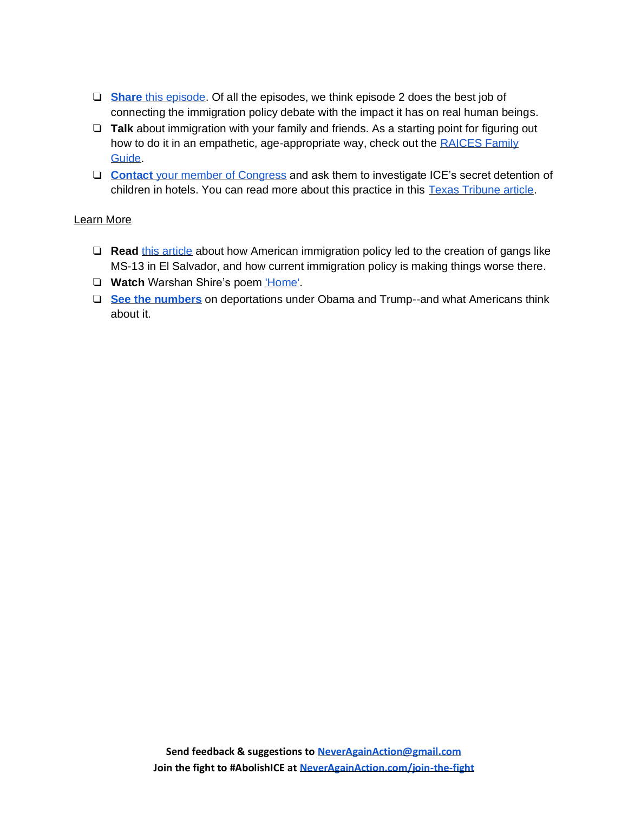- ❏ **[Share](https://www.netflix.com/watch/81001616)** [this episode.](https://www.netflix.com/watch/81001616) Of all the episodes, we think episode 2 does the best job of connecting the immigration policy debate with the impact it has on real human beings.
- ❏ **Talk** about immigration with your family and friends. As a starting point for figuring out how to do it in an empathetic, age-appropriate way, check out the RAICES Family [Guide.](https://www.raicestexas.org/wp-content/uploads/2020/07/RAICES-Family-Guide.pdf)
- ❏ **[Contact](https://txcivilrights.org/act/congress-investigate-the-illegal-detention-of-children-and-asylum-seekers-at-secret-hotels/)** [your member of Congress](https://txcivilrights.org/act/congress-investigate-the-illegal-detention-of-children-and-asylum-seekers-at-secret-hotels/) and ask them to investigate ICE's secret detention of children in hotels. You can read more about this practice in this [Texas Tribune article.](https://www.texastribune.org/2020/08/04/border-migrant-children-hotels/?utm_campaign=trib-social&utm_content=1596632408&utm_medium=social&utm_source=twitter)

## Learn More

- ❏ **Read** [this article](https://www.washingtonpost.com/news/posteverything/wp/2017/07/20/deporting-people-made-central-americas-gangs-more-deportation-wont-help/) about how American immigration policy led to the creation of gangs like MS-13 in El Salvador, and how current immigration policy is making things worse there.
- ❏ **Watch** Warshan Shire's poem ['Home'.](https://www.youtube.com/watch?v=nI9D92Xiygo)
- ❏ **[See the numbers](https://www.pewresearch.org/fact-tank/2020/03/02/how-border-apprehensions-ice-arrests-and-deportations-have-changed-under-trump/)** on deportations under Obama and Trump--and what Americans think about it.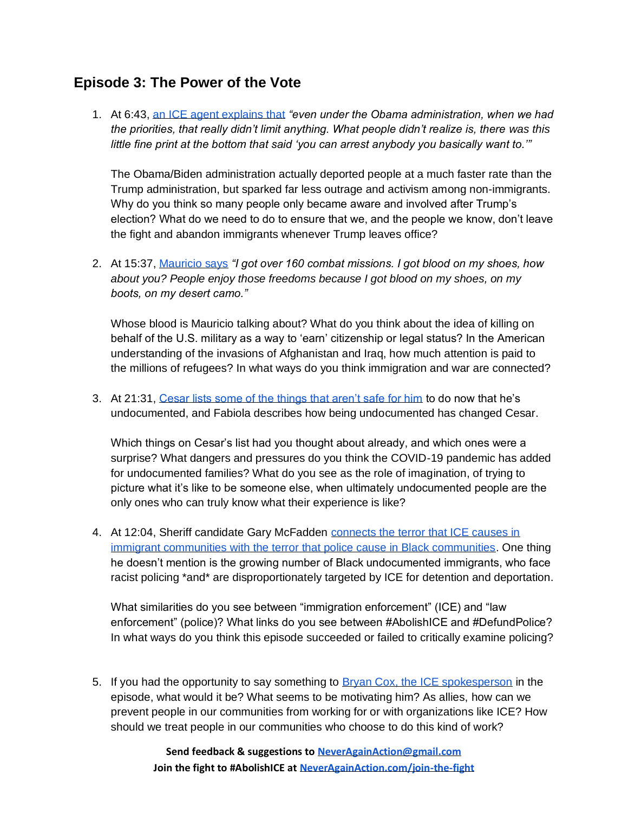## <span id="page-6-0"></span>**Episode 3: The Power of the Vote**

1. At 6:43, [an ICE agent explains that](https://youtu.be/rNZRSbgM8k0) *"even under the Obama administration, when we had the priorities, that really didn't limit anything. What people didn't realize is, there was this little fine print at the bottom that said 'you can arrest anybody you basically want to.'"*

The Obama/Biden administration actually deported people at a much faster rate than the Trump administration, but sparked far less outrage and activism among non-immigrants. Why do you think so many people only became aware and involved after Trump's election? What do we need to do to ensure that we, and the people we know, don't leave the fight and abandon immigrants whenever Trump leaves office?

2. At 15:37, [Mauricio says](https://youtu.be/4nvu5c6xvqQ) *"I got over 160 combat missions. I got blood on my shoes, how about you? People enjoy those freedoms because I got blood on my shoes, on my boots, on my desert camo."*

Whose blood is Mauricio talking about? What do you think about the idea of killing on behalf of the U.S. military as a way to 'earn' citizenship or legal status? In the American understanding of the invasions of Afghanistan and Iraq, how much attention is paid to the millions of refugees? In what ways do you think immigration and war are connected?

3. At 21:31, [Cesar lists some of the things that aren't safe for him](https://youtu.be/XxZujABsSHE) to do now that he's undocumented, and Fabiola describes how being undocumented has changed Cesar.

Which things on Cesar's list had you thought about already, and which ones were a surprise? What dangers and pressures do you think the COVID-19 pandemic has added for undocumented families? What do you see as the role of imagination, of trying to picture what it's like to be someone else, when ultimately undocumented people are the only ones who can truly know what their experience is like?

4. At 12:04, Sheriff candidate Gary McFadden [connects the terror that ICE causes in](https://youtu.be/gfj5jHUkHQU)  [immigrant communities with the terror that police cause in Black communities.](https://youtu.be/gfj5jHUkHQU) One thing he doesn't mention is the growing number of Black undocumented immigrants, who face racist policing \*and\* are disproportionately targeted by ICE for detention and deportation.

What similarities do you see between "immigration enforcement" (ICE) and "law enforcement" (police)? What links do you see between #AbolishICE and #DefundPolice? In what ways do you think this episode succeeded or failed to critically examine policing?

5. If you had the opportunity to say something to [Bryan Cox, the ICE spokesperson](https://youtu.be/NujqXC160g0) in the episode, what would it be? What seems to be motivating him? As allies, how can we prevent people in our communities from working for or with organizations like ICE? How should we treat people in our communities who choose to do this kind of work?

> **Send feedback & suggestions t[o NeverAgainAction@gmail.com](mailto:NeverAgainAction@gmail.com) Join the fight to #AbolishICE at [NeverAgainAction.com/join-the-fight](https://neveragainaction.com/join-the-fight)**